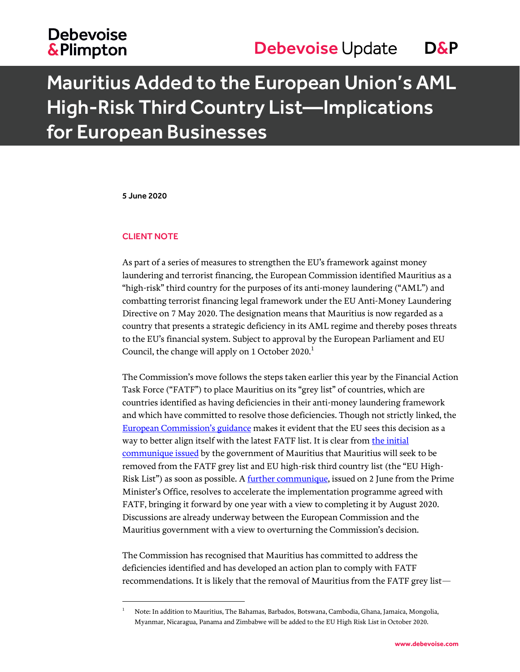## **Debevoise &Plimpton**

# Mauritius Added to the European Union's AML High-Risk Third Country List—Implications for European Businesses

5 June 2020

### CLIENT NOTE

 $\overline{a}$ 

As part of a series of measures to strengthen the EU's framework against money laundering and terrorist financing, the European Commission identified Mauritius as a "high-risk" third country for the purposes of its anti-money laundering ("AML") and combatting terrorist financing legal framework under the EU Anti-Money Laundering Directive on 7 May 2020. The designation means that Mauritius is now regarded as a country that presents a strategic deficiency in its AML regime and thereby poses threats to the EU's financial system. Subject to approval by the European Parliament and EU Council, the change will apply on 1 October 2020. $<sup>1</sup>$ </sup>

The Commission's move follows the steps taken earlier this year by the Financial Action Task Force ("FATF") to place Mauritius on its "grey list" of countries, which are countries identified as having deficiencies in their anti-money laundering framework and which have committed to resolve those deficiencies. Though not strictly linked, the Europe[an Commission's guidance](https://ec.europa.eu/commission/presscorner/detail/en/qanda_20_821) makes it evident that the EU sees this decision as a way to better align itself with the latest FATF list. It is clear from the initial [communique issued](https://www.fscmauritius.org/media/84890/press-release-09052020.pdf) by the government of Mauritius that Mauritius will seek to be removed from the FATF grey list and EU high-risk third country list (the "EU HighRisk List") as soon as possible. A [further communique,](http://pmo.govmu.org/English/Documents/Communiqu%C3%A9%20and%20Reports/Communique%20English.pdf) issued on 2 June from the Prime Minister's Office, resolves to accelerate the implementation programme agreed with FATF, bringing it forward by one year with a view to completing it by August 2020. Discussions are already underway between the European Commission and the Mauritius government with a view to overturning the Commission's decision.

The Commission has recognised that Mauritius has committed to address the deficiencies identified and has developed an action plan to comply with FATF recommendations. It is likely that the removal of Mauritius from the FATF grey list—

<sup>&</sup>lt;sup>1</sup> Note: In addition to Mauritius, The Bahamas, Barbados, Botswana, Cambodia, Ghana, Jamaica, Mongolia, Myanmar, Nicaragua, Panama and Zimbabwe will be added to the EU High Risk List in October 2020.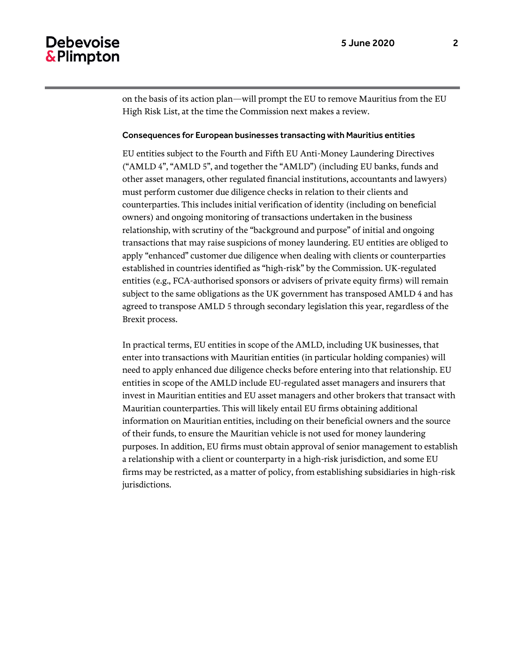### **Debevoise** & Plimpton

on the basis of its action plan—will prompt the EU to remove Mauritius from the EU High Risk List, at the time the Commission next makes a review.

#### Consequences for European businesses transacting with Mauritius entities

EU entities subject to the Fourth and Fifth EU Anti-Money Laundering Directives ("AMLD 4", "AMLD 5", and together the "AMLD") (including EU banks, funds and other asset managers, other regulated financial institutions, accountants and lawyers) must perform customer due diligence checks in relation to their clients and counterparties. This includes initial verification of identity (including on beneficial owners) and ongoing monitoring of transactions undertaken in the business relationship, with scrutiny of the "background and purpose" of initial and ongoing transactions that may raise suspicions of money laundering. EU entities are obliged to apply "enhanced" customer due diligence when dealing with clients or counterparties established in countries identified as "high-risk" by the Commission. UK-regulated entities (e.g., FCA-authorised sponsors or advisers of private equity firms) will remain subject to the same obligations as the UK government has transposed AMLD 4 and has agreed to transpose AMLD 5 through secondary legislation this year, regardless of the Brexit process.

In practical terms, EU entities in scope of the AMLD, including UK businesses, that enter into transactions with Mauritian entities (in particular holding companies) will need to apply enhanced due diligence checks before entering into that relationship. EU entities in scope of the AMLD include EU-regulated asset managers and insurers that invest in Mauritian entities and EU asset managers and other brokers that transact with Mauritian counterparties. This will likely entail EU firms obtaining additional information on Mauritian entities, including on their beneficial owners and the source of their funds, to ensure the Mauritian vehicle is not used for money laundering purposes. In addition, EU firms must obtain approval of senior management to establish a relationship with a client or counterparty in a high-risk jurisdiction, and some EU firms may be restricted, as a matter of policy, from establishing subsidiaries in high-risk jurisdictions.